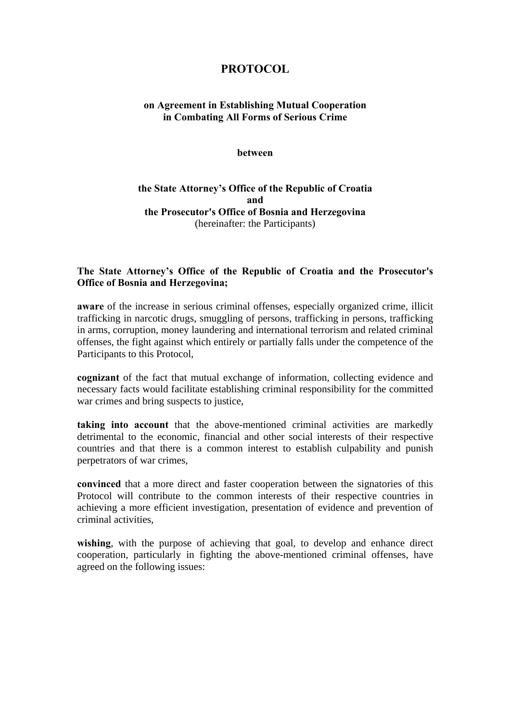# **PROTOCOL**

# **on Agreement in Establishing Mutual Cooperation in Combating All Forms of Serious Crime**

#### **between**

### **the State Attorney's Office of the Republic of Croatia and the Prosecutor's Office of Bosnia and Herzegovina**  (hereinafter: the Participants)

### **The State Attorney's Office of the Republic of Croatia and the Prosecutor's Office of Bosnia and Herzegovina;**

**aware** of the increase in serious criminal offenses, especially organized crime, illicit trafficking in narcotic drugs, smuggling of persons, trafficking in persons, trafficking in arms, corruption, money laundering and international terrorism and related criminal offenses, the fight against which entirely or partially falls under the competence of the Participants to this Protocol,

**cognizant** of the fact that mutual exchange of information, collecting evidence and necessary facts would facilitate establishing criminal responsibility for the committed war crimes and bring suspects to justice,

**taking into account** that the above-mentioned criminal activities are markedly detrimental to the economic, financial and other social interests of their respective countries and that there is a common interest to establish culpability and punish perpetrators of war crimes,

**convinced** that a more direct and faster cooperation between the signatories of this Protocol will contribute to the common interests of their respective countries in achieving a more efficient investigation, presentation of evidence and prevention of criminal activities,

wishing, with the purpose of achieving that goal, to develop and enhance direct cooperation, particularly in fighting the above-mentioned criminal offenses, have agreed on the following issues: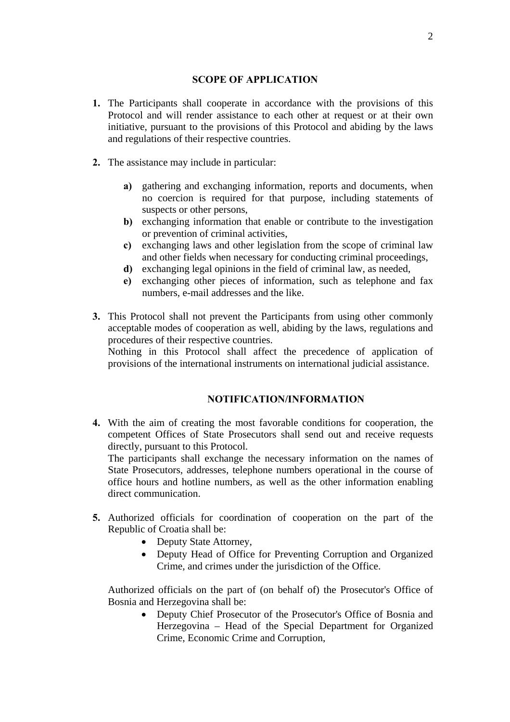#### **SCOPE OF APPLICATION**

- **1.** The Participants shall cooperate in accordance with the provisions of this Protocol and will render assistance to each other at request or at their own initiative, pursuant to the provisions of this Protocol and abiding by the laws and regulations of their respective countries.
- **2.** The assistance may include in particular:
	- **a)** gathering and exchanging information, reports and documents, when no coercion is required for that purpose, including statements of suspects or other persons,
	- **b)** exchanging information that enable or contribute to the investigation or prevention of criminal activities,
	- **c)** exchanging laws and other legislation from the scope of criminal law and other fields when necessary for conducting criminal proceedings,
	- **d)** exchanging legal opinions in the field of criminal law, as needed,
	- **e)** exchanging other pieces of information, such as telephone and fax numbers, e-mail addresses and the like.
- **3.** This Protocol shall not prevent the Participants from using other commonly acceptable modes of cooperation as well, abiding by the laws, regulations and procedures of their respective countries.

Nothing in this Protocol shall affect the precedence of application of provisions of the international instruments on international judicial assistance.

# **NOTIFICATION/INFORMATION**

**4.** With the aim of creating the most favorable conditions for cooperation, the competent Offices of State Prosecutors shall send out and receive requests directly, pursuant to this Protocol. The participants shall exchange the necessary information on the names of

State Prosecutors, addresses, telephone numbers operational in the course of office hours and hotline numbers, as well as the other information enabling direct communication.

- **5.** Authorized officials for coordination of cooperation on the part of the Republic of Croatia shall be:
	- Deputy State Attorney,
	- Deputy Head of Office for Preventing Corruption and Organized Crime, and crimes under the jurisdiction of the Office.

Authorized officials on the part of (on behalf of) the Prosecutor's Office of Bosnia and Herzegovina shall be:

> • Deputy Chief Prosecutor of the Prosecutor's Office of Bosnia and Herzegovina – Head of the Special Department for Organized Crime, Economic Crime and Corruption,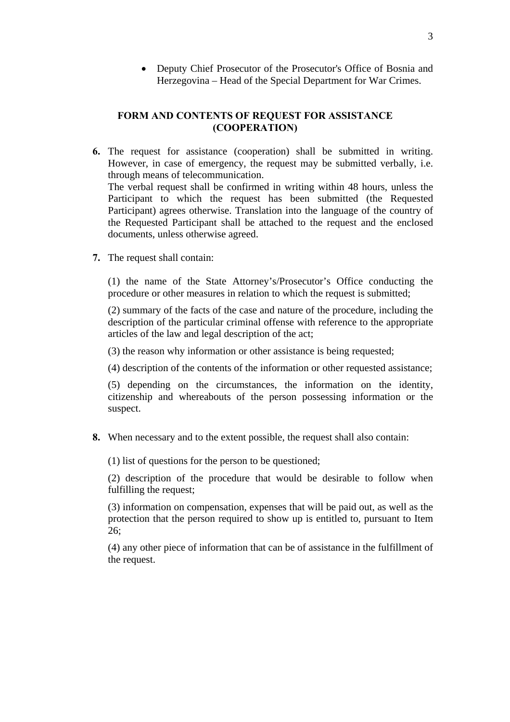• Deputy Chief Prosecutor of the Prosecutor's Office of Bosnia and Herzegovina – Head of the Special Department for War Crimes.

#### **FORM AND CONTENTS OF REQUEST FOR ASSISTANCE (COOPERATION)**

- **6.** The request for assistance (cooperation) shall be submitted in writing. However, in case of emergency, the request may be submitted verbally, i.e. through means of telecommunication. The verbal request shall be confirmed in writing within 48 hours, unless the Participant to which the request has been submitted (the Requested Participant) agrees otherwise. Translation into the language of the country of the Requested Participant shall be attached to the request and the enclosed documents, unless otherwise agreed.
- **7.** The request shall contain:

(1) the name of the State Attorney's/Prosecutor's Office conducting the procedure or other measures in relation to which the request is submitted;

(2) summary of the facts of the case and nature of the procedure, including the description of the particular criminal offense with reference to the appropriate articles of the law and legal description of the act;

(3) the reason why information or other assistance is being requested;

(4) description of the contents of the information or other requested assistance;

(5) depending on the circumstances, the information on the identity, citizenship and whereabouts of the person possessing information or the suspect.

**8.** When necessary and to the extent possible, the request shall also contain:

(1) list of questions for the person to be questioned;

(2) description of the procedure that would be desirable to follow when fulfilling the request;

(3) information on compensation, expenses that will be paid out, as well as the protection that the person required to show up is entitled to, pursuant to Item 26;

(4) any other piece of information that can be of assistance in the fulfillment of the request.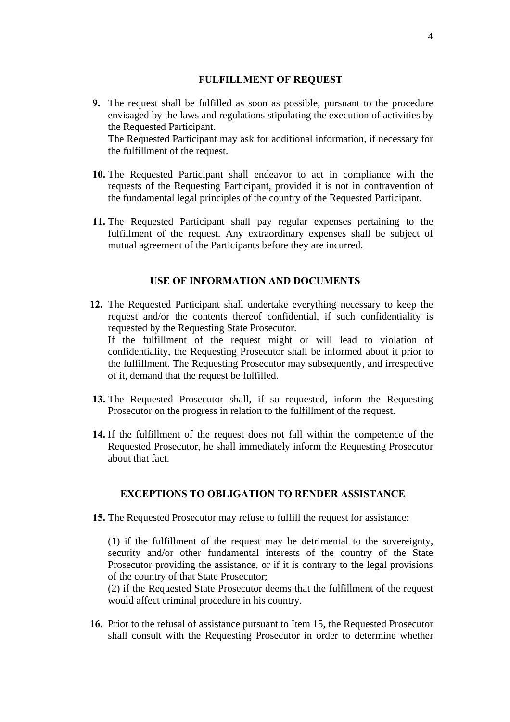#### **FULFILLMENT OF REQUEST**

- **9.** The request shall be fulfilled as soon as possible, pursuant to the procedure envisaged by the laws and regulations stipulating the execution of activities by the Requested Participant. The Requested Participant may ask for additional information, if necessary for the fulfillment of the request.
- **10.** The Requested Participant shall endeavor to act in compliance with the requests of the Requesting Participant, provided it is not in contravention of the fundamental legal principles of the country of the Requested Participant.
- **11.** The Requested Participant shall pay regular expenses pertaining to the fulfillment of the request. Any extraordinary expenses shall be subject of mutual agreement of the Participants before they are incurred.

#### **USE OF INFORMATION AND DOCUMENTS**

- **12.** The Requested Participant shall undertake everything necessary to keep the request and/or the contents thereof confidential, if such confidentiality is requested by the Requesting State Prosecutor. If the fulfillment of the request might or will lead to violation of confidentiality, the Requesting Prosecutor shall be informed about it prior to the fulfillment. The Requesting Prosecutor may subsequently, and irrespective of it, demand that the request be fulfilled.
- **13.** The Requested Prosecutor shall, if so requested, inform the Requesting Prosecutor on the progress in relation to the fulfillment of the request.
- **14.** If the fulfillment of the request does not fall within the competence of the Requested Prosecutor, he shall immediately inform the Requesting Prosecutor about that fact.

### **EXCEPTIONS TO OBLIGATION TO RENDER ASSISTANCE**

**15.** The Requested Prosecutor may refuse to fulfill the request for assistance:

(1) if the fulfillment of the request may be detrimental to the sovereignty, security and/or other fundamental interests of the country of the State Prosecutor providing the assistance, or if it is contrary to the legal provisions of the country of that State Prosecutor;

(2) if the Requested State Prosecutor deems that the fulfillment of the request would affect criminal procedure in his country.

**16.** Prior to the refusal of assistance pursuant to Item 15, the Requested Prosecutor shall consult with the Requesting Prosecutor in order to determine whether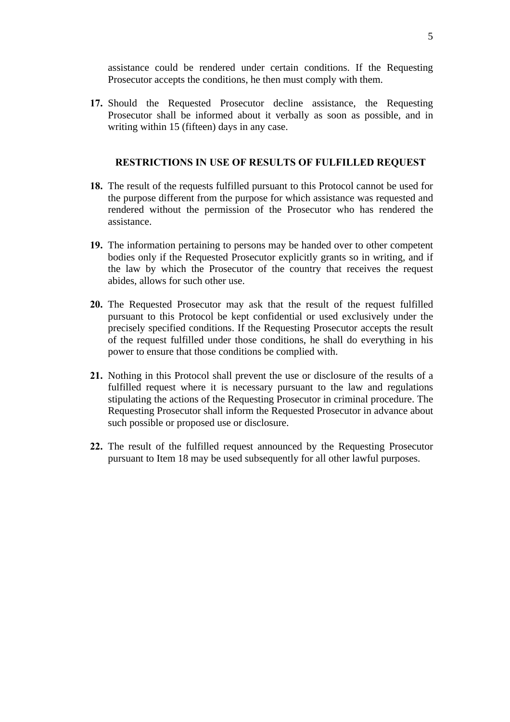assistance could be rendered under certain conditions. If the Requesting Prosecutor accepts the conditions, he then must comply with them.

**17.** Should the Requested Prosecutor decline assistance, the Requesting Prosecutor shall be informed about it verbally as soon as possible, and in writing within 15 (fifteen) days in any case.

#### **RESTRICTIONS IN USE OF RESULTS OF FULFILLED REQUEST**

- **18.** The result of the requests fulfilled pursuant to this Protocol cannot be used for the purpose different from the purpose for which assistance was requested and rendered without the permission of the Prosecutor who has rendered the assistance.
- **19.** The information pertaining to persons may be handed over to other competent bodies only if the Requested Prosecutor explicitly grants so in writing, and if the law by which the Prosecutor of the country that receives the request abides, allows for such other use.
- **20.** The Requested Prosecutor may ask that the result of the request fulfilled pursuant to this Protocol be kept confidential or used exclusively under the precisely specified conditions. If the Requesting Prosecutor accepts the result of the request fulfilled under those conditions, he shall do everything in his power to ensure that those conditions be complied with.
- **21.** Nothing in this Protocol shall prevent the use or disclosure of the results of a fulfilled request where it is necessary pursuant to the law and regulations stipulating the actions of the Requesting Prosecutor in criminal procedure. The Requesting Prosecutor shall inform the Requested Prosecutor in advance about such possible or proposed use or disclosure.
- **22.** The result of the fulfilled request announced by the Requesting Prosecutor pursuant to Item 18 may be used subsequently for all other lawful purposes.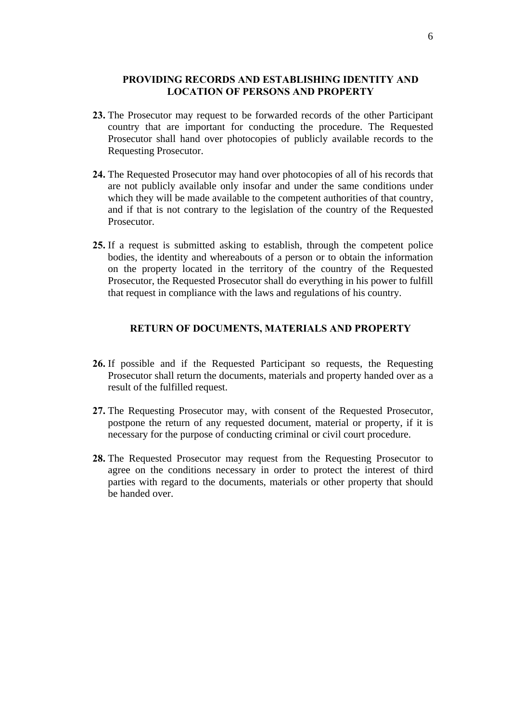#### **PROVIDING RECORDS AND ESTABLISHING IDENTITY AND LOCATION OF PERSONS AND PROPERTY**

- **23.** The Prosecutor may request to be forwarded records of the other Participant country that are important for conducting the procedure. The Requested Prosecutor shall hand over photocopies of publicly available records to the Requesting Prosecutor.
- **24.** The Requested Prosecutor may hand over photocopies of all of his records that are not publicly available only insofar and under the same conditions under which they will be made available to the competent authorities of that country, and if that is not contrary to the legislation of the country of the Requested Prosecutor.
- **25.** If a request is submitted asking to establish, through the competent police bodies, the identity and whereabouts of a person or to obtain the information on the property located in the territory of the country of the Requested Prosecutor, the Requested Prosecutor shall do everything in his power to fulfill that request in compliance with the laws and regulations of his country.

### **RETURN OF DOCUMENTS, MATERIALS AND PROPERTY**

- **26.** If possible and if the Requested Participant so requests, the Requesting Prosecutor shall return the documents, materials and property handed over as a result of the fulfilled request.
- **27.** The Requesting Prosecutor may, with consent of the Requested Prosecutor, postpone the return of any requested document, material or property, if it is necessary for the purpose of conducting criminal or civil court procedure.
- **28.** The Requested Prosecutor may request from the Requesting Prosecutor to agree on the conditions necessary in order to protect the interest of third parties with regard to the documents, materials or other property that should be handed over.